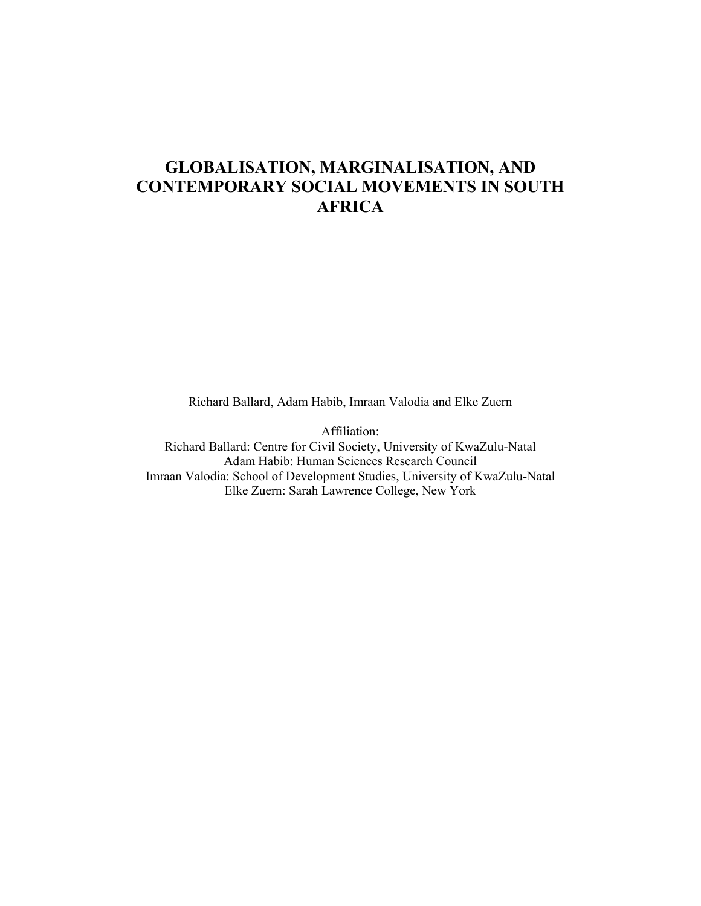# **GLOBALISATION, MARGINALISATION, AND CONTEMPORARY SOCIAL MOVEMENTS IN SOUTH AFRICA**

Richard Ballard, Adam Habib, Imraan Valodia and Elke Zuern

Affiliation: Richard Ballard: Centre for Civil Society, University of KwaZulu-Natal Adam Habib: Human Sciences Research Council Imraan Valodia: School of Development Studies, University of KwaZulu-Natal Elke Zuern: Sarah Lawrence College, New York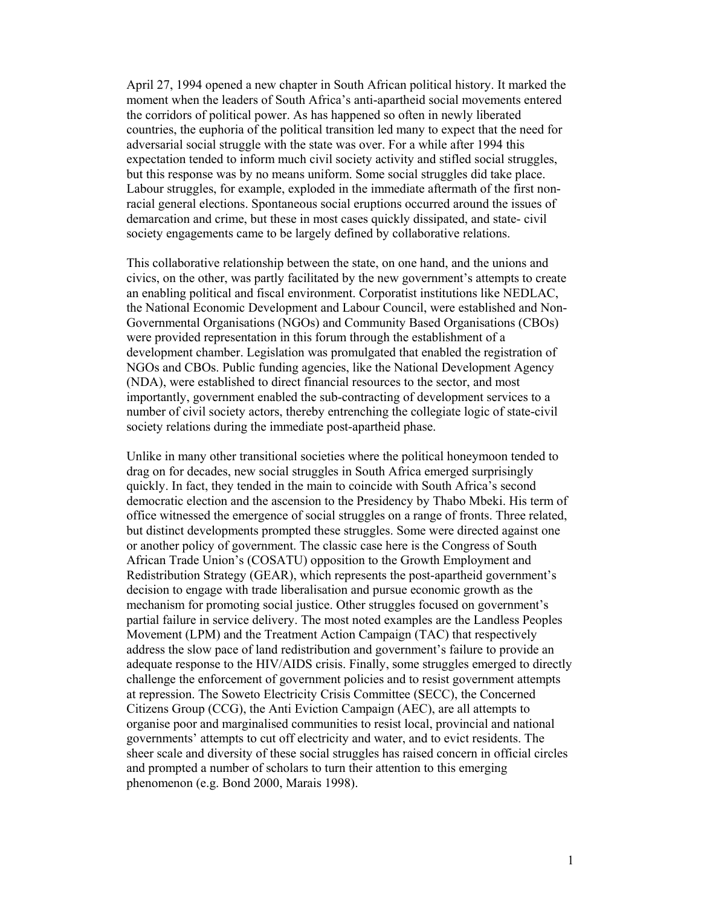April 27, 1994 opened a new chapter in South African political history. It marked the moment when the leaders of South Africa's anti-apartheid social movements entered the corridors of political power. As has happened so often in newly liberated countries, the euphoria of the political transition led many to expect that the need for adversarial social struggle with the state was over. For a while after 1994 this expectation tended to inform much civil society activity and stifled social struggles, but this response was by no means uniform. Some social struggles did take place. Labour struggles, for example, exploded in the immediate aftermath of the first nonracial general elections. Spontaneous social eruptions occurred around the issues of demarcation and crime, but these in most cases quickly dissipated, and state- civil society engagements came to be largely defined by collaborative relations.

This collaborative relationship between the state, on one hand, and the unions and civics, on the other, was partly facilitated by the new government's attempts to create an enabling political and fiscal environment. Corporatist institutions like NEDLAC, the National Economic Development and Labour Council, were established and Non-Governmental Organisations (NGOs) and Community Based Organisations (CBOs) were provided representation in this forum through the establishment of a development chamber. Legislation was promulgated that enabled the registration of NGOs and CBOs. Public funding agencies, like the National Development Agency (NDA), were established to direct financial resources to the sector, and most importantly, government enabled the sub-contracting of development services to a number of civil society actors, thereby entrenching the collegiate logic of state-civil society relations during the immediate post-apartheid phase.

Unlike in many other transitional societies where the political honeymoon tended to drag on for decades, new social struggles in South Africa emerged surprisingly quickly. In fact, they tended in the main to coincide with South Africa's second democratic election and the ascension to the Presidency by Thabo Mbeki. His term of office witnessed the emergence of social struggles on a range of fronts. Three related, but distinct developments prompted these struggles. Some were directed against one or another policy of government. The classic case here is the Congress of South African Trade Union's (COSATU) opposition to the Growth Employment and Redistribution Strategy (GEAR), which represents the post-apartheid government's decision to engage with trade liberalisation and pursue economic growth as the mechanism for promoting social justice. Other struggles focused on government's partial failure in service delivery. The most noted examples are the Landless Peoples Movement (LPM) and the Treatment Action Campaign (TAC) that respectively address the slow pace of land redistribution and government's failure to provide an adequate response to the HIV/AIDS crisis. Finally, some struggles emerged to directly challenge the enforcement of government policies and to resist government attempts at repression. The Soweto Electricity Crisis Committee (SECC), the Concerned Citizens Group (CCG), the Anti Eviction Campaign (AEC), are all attempts to organise poor and marginalised communities to resist local, provincial and national governments' attempts to cut off electricity and water, and to evict residents. The sheer scale and diversity of these social struggles has raised concern in official circles and prompted a number of scholars to turn their attention to this emerging phenomenon (e.g. Bond 2000, Marais 1998).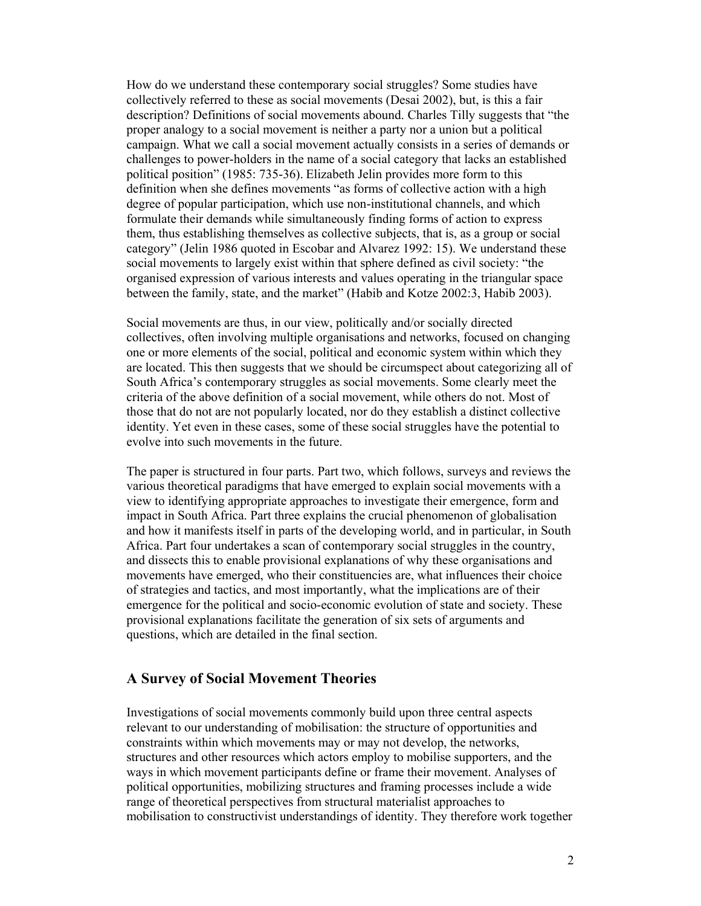How do we understand these contemporary social struggles? Some studies have collectively referred to these as social movements (Desai 2002), but, is this a fair description? Definitions of social movements abound. Charles Tilly suggests that "the proper analogy to a social movement is neither a party nor a union but a political campaign. What we call a social movement actually consists in a series of demands or challenges to power-holders in the name of a social category that lacks an established political position" (1985: 735-36). Elizabeth Jelin provides more form to this definition when she defines movements "as forms of collective action with a high degree of popular participation, which use non-institutional channels, and which formulate their demands while simultaneously finding forms of action to express them, thus establishing themselves as collective subjects, that is, as a group or social category" (Jelin 1986 quoted in Escobar and Alvarez 1992: 15). We understand these social movements to largely exist within that sphere defined as civil society: "the organised expression of various interests and values operating in the triangular space between the family, state, and the market" (Habib and Kotze 2002:3, Habib 2003).

Social movements are thus, in our view, politically and/or socially directed collectives, often involving multiple organisations and networks, focused on changing one or more elements of the social, political and economic system within which they are located. This then suggests that we should be circumspect about categorizing all of South Africa's contemporary struggles as social movements. Some clearly meet the criteria of the above definition of a social movement, while others do not. Most of those that do not are not popularly located, nor do they establish a distinct collective identity. Yet even in these cases, some of these social struggles have the potential to evolve into such movements in the future.

The paper is structured in four parts. Part two, which follows, surveys and reviews the various theoretical paradigms that have emerged to explain social movements with a view to identifying appropriate approaches to investigate their emergence, form and impact in South Africa. Part three explains the crucial phenomenon of globalisation and how it manifests itself in parts of the developing world, and in particular, in South Africa. Part four undertakes a scan of contemporary social struggles in the country, and dissects this to enable provisional explanations of why these organisations and movements have emerged, who their constituencies are, what influences their choice of strategies and tactics, and most importantly, what the implications are of their emergence for the political and socio-economic evolution of state and society. These provisional explanations facilitate the generation of six sets of arguments and questions, which are detailed in the final section.

### **A Survey of Social Movement Theories**

Investigations of social movements commonly build upon three central aspects relevant to our understanding of mobilisation: the structure of opportunities and constraints within which movements may or may not develop, the networks, structures and other resources which actors employ to mobilise supporters, and the ways in which movement participants define or frame their movement. Analyses of political opportunities, mobilizing structures and framing processes include a wide range of theoretical perspectives from structural materialist approaches to mobilisation to constructivist understandings of identity. They therefore work together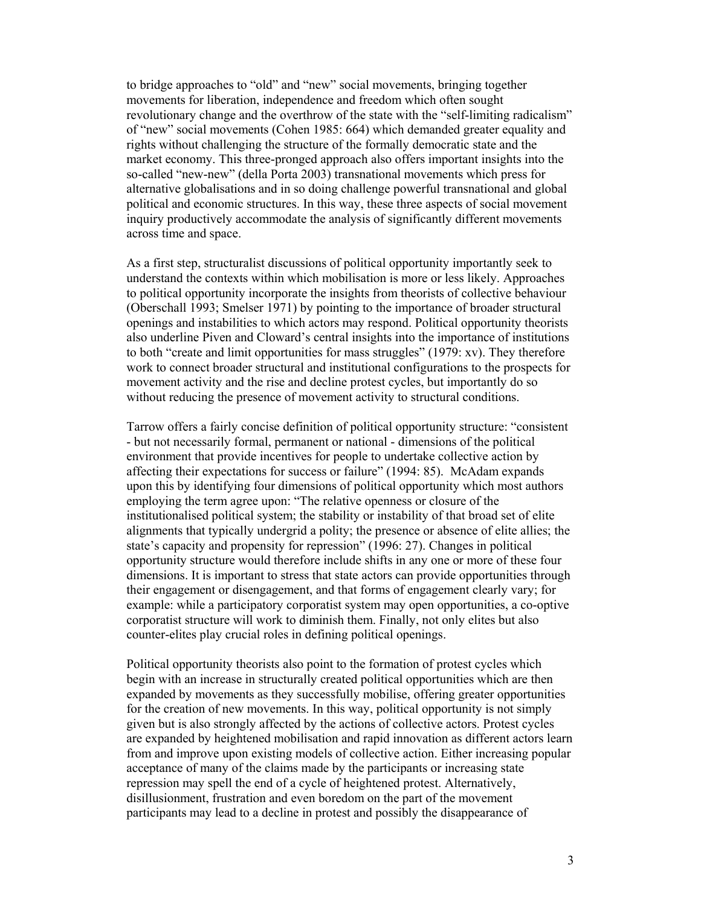to bridge approaches to "old" and "new" social movements, bringing together movements for liberation, independence and freedom which often sought revolutionary change and the overthrow of the state with the "self-limiting radicalism" of "new" social movements (Cohen 1985: 664) which demanded greater equality and rights without challenging the structure of the formally democratic state and the market economy. This three-pronged approach also offers important insights into the so-called "new-new" (della Porta 2003) transnational movements which press for alternative globalisations and in so doing challenge powerful transnational and global political and economic structures. In this way, these three aspects of social movement inquiry productively accommodate the analysis of significantly different movements across time and space.

As a first step, structuralist discussions of political opportunity importantly seek to understand the contexts within which mobilisation is more or less likely. Approaches to political opportunity incorporate the insights from theorists of collective behaviour (Oberschall 1993; Smelser 1971) by pointing to the importance of broader structural openings and instabilities to which actors may respond. Political opportunity theorists also underline Piven and Cloward's central insights into the importance of institutions to both "create and limit opportunities for mass struggles" (1979: xv). They therefore work to connect broader structural and institutional configurations to the prospects for movement activity and the rise and decline protest cycles, but importantly do so without reducing the presence of movement activity to structural conditions.

Tarrow offers a fairly concise definition of political opportunity structure: "consistent - but not necessarily formal, permanent or national - dimensions of the political environment that provide incentives for people to undertake collective action by affecting their expectations for success or failure" (1994: 85). McAdam expands upon this by identifying four dimensions of political opportunity which most authors employing the term agree upon: "The relative openness or closure of the institutionalised political system; the stability or instability of that broad set of elite alignments that typically undergrid a polity; the presence or absence of elite allies; the state's capacity and propensity for repression" (1996: 27). Changes in political opportunity structure would therefore include shifts in any one or more of these four dimensions. It is important to stress that state actors can provide opportunities through their engagement or disengagement, and that forms of engagement clearly vary; for example: while a participatory corporatist system may open opportunities, a co-optive corporatist structure will work to diminish them. Finally, not only elites but also counter-elites play crucial roles in defining political openings.

Political opportunity theorists also point to the formation of protest cycles which begin with an increase in structurally created political opportunities which are then expanded by movements as they successfully mobilise, offering greater opportunities for the creation of new movements. In this way, political opportunity is not simply given but is also strongly affected by the actions of collective actors. Protest cycles are expanded by heightened mobilisation and rapid innovation as different actors learn from and improve upon existing models of collective action. Either increasing popular acceptance of many of the claims made by the participants or increasing state repression may spell the end of a cycle of heightened protest. Alternatively, disillusionment, frustration and even boredom on the part of the movement participants may lead to a decline in protest and possibly the disappearance of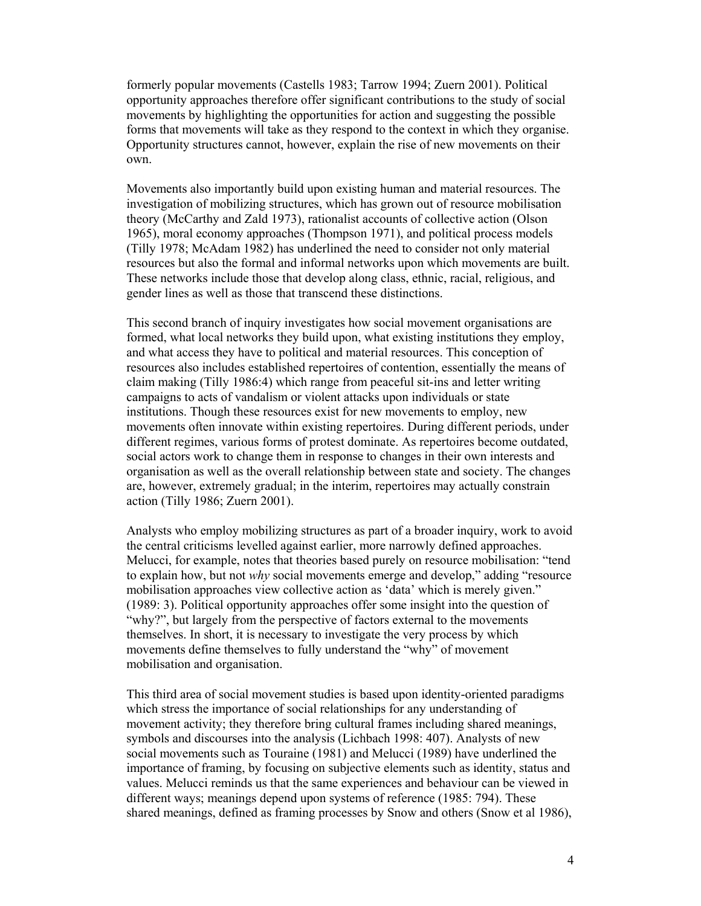formerly popular movements (Castells 1983; Tarrow 1994; Zuern 2001). Political opportunity approaches therefore offer significant contributions to the study of social movements by highlighting the opportunities for action and suggesting the possible forms that movements will take as they respond to the context in which they organise. Opportunity structures cannot, however, explain the rise of new movements on their own.

Movements also importantly build upon existing human and material resources. The investigation of mobilizing structures, which has grown out of resource mobilisation theory (McCarthy and Zald 1973), rationalist accounts of collective action (Olson 1965), moral economy approaches (Thompson 1971), and political process models (Tilly 1978; McAdam 1982) has underlined the need to consider not only material resources but also the formal and informal networks upon which movements are built. These networks include those that develop along class, ethnic, racial, religious, and gender lines as well as those that transcend these distinctions.

This second branch of inquiry investigates how social movement organisations are formed, what local networks they build upon, what existing institutions they employ, and what access they have to political and material resources. This conception of resources also includes established repertoires of contention, essentially the means of claim making (Tilly 1986:4) which range from peaceful sit-ins and letter writing campaigns to acts of vandalism or violent attacks upon individuals or state institutions. Though these resources exist for new movements to employ, new movements often innovate within existing repertoires. During different periods, under different regimes, various forms of protest dominate. As repertoires become outdated, social actors work to change them in response to changes in their own interests and organisation as well as the overall relationship between state and society. The changes are, however, extremely gradual; in the interim, repertoires may actually constrain action (Tilly 1986; Zuern 2001).

Analysts who employ mobilizing structures as part of a broader inquiry, work to avoid the central criticisms levelled against earlier, more narrowly defined approaches. Melucci, for example, notes that theories based purely on resource mobilisation: "tend to explain how, but not *why* social movements emerge and develop," adding "resource mobilisation approaches view collective action as 'data' which is merely given." (1989: 3). Political opportunity approaches offer some insight into the question of "why?", but largely from the perspective of factors external to the movements themselves. In short, it is necessary to investigate the very process by which movements define themselves to fully understand the "why" of movement mobilisation and organisation.

This third area of social movement studies is based upon identity-oriented paradigms which stress the importance of social relationships for any understanding of movement activity; they therefore bring cultural frames including shared meanings, symbols and discourses into the analysis (Lichbach 1998: 407). Analysts of new social movements such as Touraine (1981) and Melucci (1989) have underlined the importance of framing, by focusing on subjective elements such as identity, status and values. Melucci reminds us that the same experiences and behaviour can be viewed in different ways; meanings depend upon systems of reference (1985: 794). These shared meanings, defined as framing processes by Snow and others (Snow et al 1986),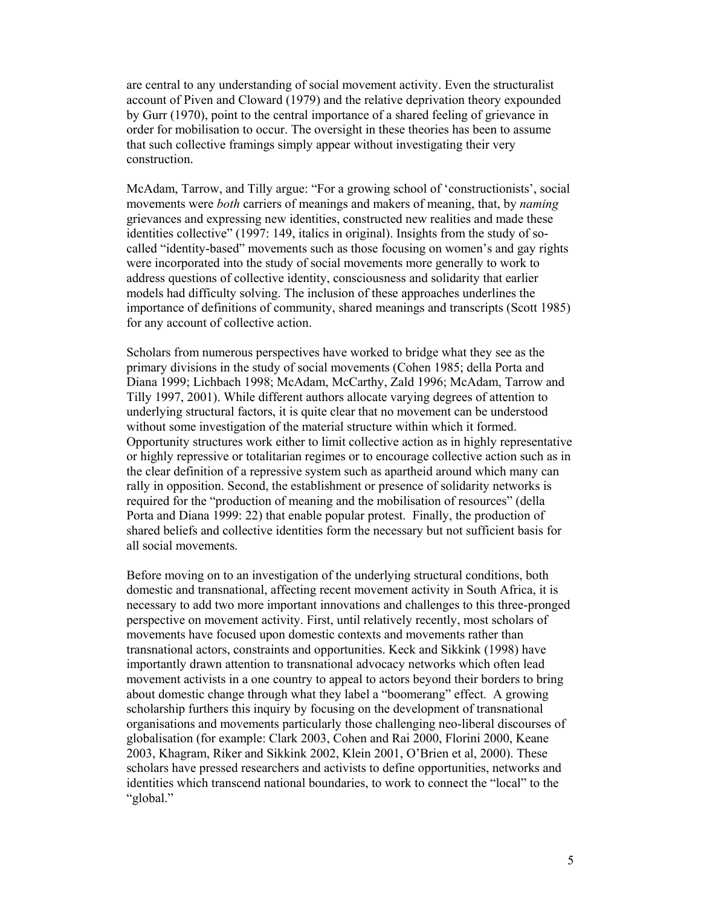are central to any understanding of social movement activity. Even the structuralist account of Piven and Cloward (1979) and the relative deprivation theory expounded by Gurr (1970), point to the central importance of a shared feeling of grievance in order for mobilisation to occur. The oversight in these theories has been to assume that such collective framings simply appear without investigating their very construction.

McAdam, Tarrow, and Tilly argue: "For a growing school of 'constructionists', social movements were *both* carriers of meanings and makers of meaning, that, by *naming* grievances and expressing new identities, constructed new realities and made these identities collective" (1997: 149, italics in original). Insights from the study of socalled "identity-based" movements such as those focusing on women's and gay rights were incorporated into the study of social movements more generally to work to address questions of collective identity, consciousness and solidarity that earlier models had difficulty solving. The inclusion of these approaches underlines the importance of definitions of community, shared meanings and transcripts (Scott 1985) for any account of collective action.

Scholars from numerous perspectives have worked to bridge what they see as the primary divisions in the study of social movements (Cohen 1985; della Porta and Diana 1999; Lichbach 1998; McAdam, McCarthy, Zald 1996; McAdam, Tarrow and Tilly 1997, 2001). While different authors allocate varying degrees of attention to underlying structural factors, it is quite clear that no movement can be understood without some investigation of the material structure within which it formed. Opportunity structures work either to limit collective action as in highly representative or highly repressive or totalitarian regimes or to encourage collective action such as in the clear definition of a repressive system such as apartheid around which many can rally in opposition. Second, the establishment or presence of solidarity networks is required for the "production of meaning and the mobilisation of resources" (della Porta and Diana 1999: 22) that enable popular protest. Finally, the production of shared beliefs and collective identities form the necessary but not sufficient basis for all social movements.

Before moving on to an investigation of the underlying structural conditions, both domestic and transnational, affecting recent movement activity in South Africa, it is necessary to add two more important innovations and challenges to this three-pronged perspective on movement activity. First, until relatively recently, most scholars of movements have focused upon domestic contexts and movements rather than transnational actors, constraints and opportunities. Keck and Sikkink (1998) have importantly drawn attention to transnational advocacy networks which often lead movement activists in a one country to appeal to actors beyond their borders to bring about domestic change through what they label a "boomerang" effect. A growing scholarship furthers this inquiry by focusing on the development of transnational organisations and movements particularly those challenging neo-liberal discourses of globalisation (for example: Clark 2003, Cohen and Rai 2000, Florini 2000, Keane 2003, Khagram, Riker and Sikkink 2002, Klein 2001, O'Brien et al, 2000). These scholars have pressed researchers and activists to define opportunities, networks and identities which transcend national boundaries, to work to connect the "local" to the "global."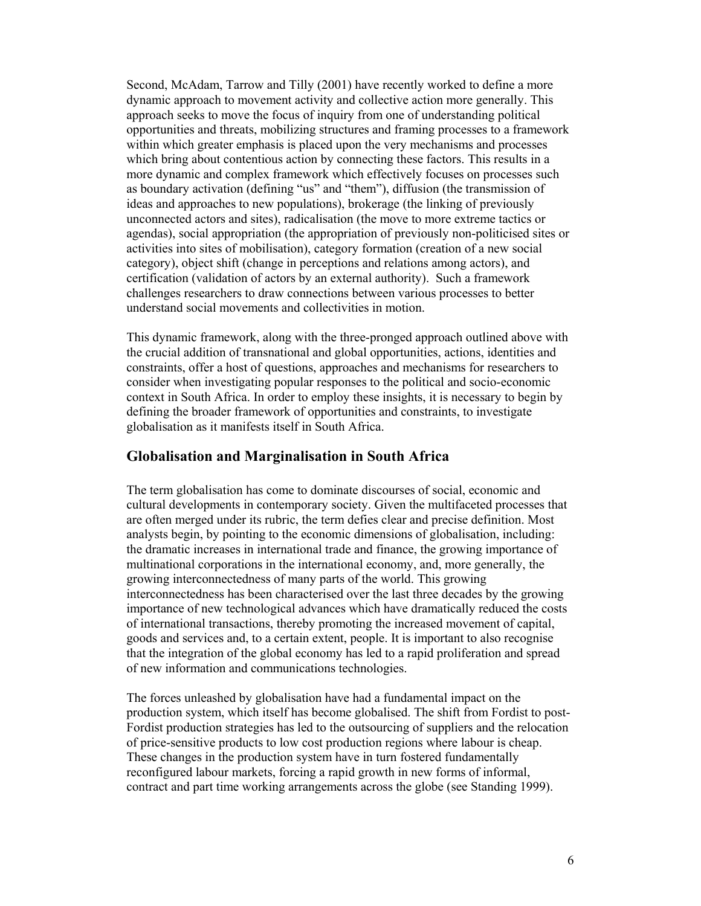Second, McAdam, Tarrow and Tilly (2001) have recently worked to define a more dynamic approach to movement activity and collective action more generally. This approach seeks to move the focus of inquiry from one of understanding political opportunities and threats, mobilizing structures and framing processes to a framework within which greater emphasis is placed upon the very mechanisms and processes which bring about contentious action by connecting these factors. This results in a more dynamic and complex framework which effectively focuses on processes such as boundary activation (defining "us" and "them"), diffusion (the transmission of ideas and approaches to new populations), brokerage (the linking of previously unconnected actors and sites), radicalisation (the move to more extreme tactics or agendas), social appropriation (the appropriation of previously non-politicised sites or activities into sites of mobilisation), category formation (creation of a new social category), object shift (change in perceptions and relations among actors), and certification (validation of actors by an external authority). Such a framework challenges researchers to draw connections between various processes to better understand social movements and collectivities in motion.

This dynamic framework, along with the three-pronged approach outlined above with the crucial addition of transnational and global opportunities, actions, identities and constraints, offer a host of questions, approaches and mechanisms for researchers to consider when investigating popular responses to the political and socio-economic context in South Africa. In order to employ these insights, it is necessary to begin by defining the broader framework of opportunities and constraints, to investigate globalisation as it manifests itself in South Africa.

## **Globalisation and Marginalisation in South Africa**

The term globalisation has come to dominate discourses of social, economic and cultural developments in contemporary society. Given the multifaceted processes that are often merged under its rubric, the term defies clear and precise definition. Most analysts begin, by pointing to the economic dimensions of globalisation, including: the dramatic increases in international trade and finance, the growing importance of multinational corporations in the international economy, and, more generally, the growing interconnectedness of many parts of the world. This growing interconnectedness has been characterised over the last three decades by the growing importance of new technological advances which have dramatically reduced the costs of international transactions, thereby promoting the increased movement of capital, goods and services and, to a certain extent, people. It is important to also recognise that the integration of the global economy has led to a rapid proliferation and spread of new information and communications technologies.

The forces unleashed by globalisation have had a fundamental impact on the production system, which itself has become globalised. The shift from Fordist to post-Fordist production strategies has led to the outsourcing of suppliers and the relocation of price-sensitive products to low cost production regions where labour is cheap. These changes in the production system have in turn fostered fundamentally reconfigured labour markets, forcing a rapid growth in new forms of informal, contract and part time working arrangements across the globe (see Standing 1999).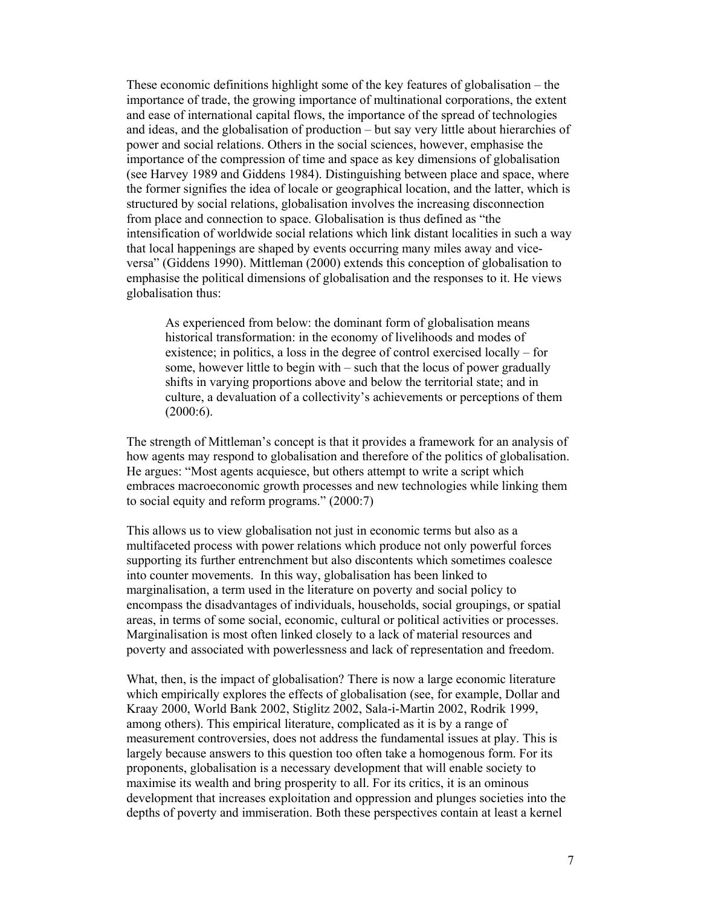These economic definitions highlight some of the key features of globalisation – the importance of trade, the growing importance of multinational corporations, the extent and ease of international capital flows, the importance of the spread of technologies and ideas, and the globalisation of production – but say very little about hierarchies of power and social relations. Others in the social sciences, however, emphasise the importance of the compression of time and space as key dimensions of globalisation (see Harvey 1989 and Giddens 1984). Distinguishing between place and space, where the former signifies the idea of locale or geographical location, and the latter, which is structured by social relations, globalisation involves the increasing disconnection from place and connection to space. Globalisation is thus defined as "the intensification of worldwide social relations which link distant localities in such a way that local happenings are shaped by events occurring many miles away and viceversa" (Giddens 1990). Mittleman (2000) extends this conception of globalisation to emphasise the political dimensions of globalisation and the responses to it. He views globalisation thus:

As experienced from below: the dominant form of globalisation means historical transformation: in the economy of livelihoods and modes of existence; in politics, a loss in the degree of control exercised locally – for some, however little to begin with – such that the locus of power gradually shifts in varying proportions above and below the territorial state; and in culture, a devaluation of a collectivity's achievements or perceptions of them  $(2000:6)$ .

The strength of Mittleman's concept is that it provides a framework for an analysis of how agents may respond to globalisation and therefore of the politics of globalisation. He argues: "Most agents acquiesce, but others attempt to write a script which embraces macroeconomic growth processes and new technologies while linking them to social equity and reform programs." (2000:7)

This allows us to view globalisation not just in economic terms but also as a multifaceted process with power relations which produce not only powerful forces supporting its further entrenchment but also discontents which sometimes coalesce into counter movements. In this way, globalisation has been linked to marginalisation, a term used in the literature on poverty and social policy to encompass the disadvantages of individuals, households, social groupings, or spatial areas, in terms of some social, economic, cultural or political activities or processes. Marginalisation is most often linked closely to a lack of material resources and poverty and associated with powerlessness and lack of representation and freedom.

What, then, is the impact of globalisation? There is now a large economic literature which empirically explores the effects of globalisation (see, for example, Dollar and Kraay 2000, World Bank 2002, Stiglitz 2002, Sala-i-Martin 2002, Rodrik 1999, among others). This empirical literature, complicated as it is by a range of measurement controversies, does not address the fundamental issues at play. This is largely because answers to this question too often take a homogenous form. For its proponents, globalisation is a necessary development that will enable society to maximise its wealth and bring prosperity to all. For its critics, it is an ominous development that increases exploitation and oppression and plunges societies into the depths of poverty and immiseration. Both these perspectives contain at least a kernel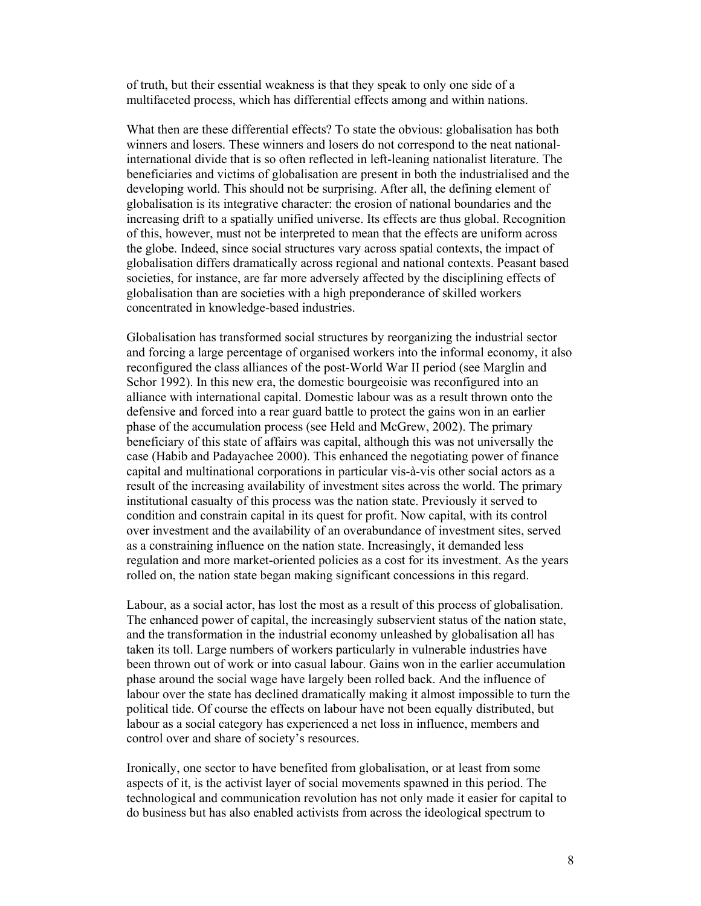of truth, but their essential weakness is that they speak to only one side of a multifaceted process, which has differential effects among and within nations.

What then are these differential effects? To state the obvious: globalisation has both winners and losers. These winners and losers do not correspond to the neat nationalinternational divide that is so often reflected in left-leaning nationalist literature. The beneficiaries and victims of globalisation are present in both the industrialised and the developing world. This should not be surprising. After all, the defining element of globalisation is its integrative character: the erosion of national boundaries and the increasing drift to a spatially unified universe. Its effects are thus global. Recognition of this, however, must not be interpreted to mean that the effects are uniform across the globe. Indeed, since social structures vary across spatial contexts, the impact of globalisation differs dramatically across regional and national contexts. Peasant based societies, for instance, are far more adversely affected by the disciplining effects of globalisation than are societies with a high preponderance of skilled workers concentrated in knowledge-based industries.

Globalisation has transformed social structures by reorganizing the industrial sector and forcing a large percentage of organised workers into the informal economy, it also reconfigured the class alliances of the post-World War II period (see Marglin and Schor 1992). In this new era, the domestic bourgeoisie was reconfigured into an alliance with international capital. Domestic labour was as a result thrown onto the defensive and forced into a rear guard battle to protect the gains won in an earlier phase of the accumulation process (see Held and McGrew, 2002). The primary beneficiary of this state of affairs was capital, although this was not universally the case (Habib and Padayachee 2000). This enhanced the negotiating power of finance capital and multinational corporations in particular vis-à-vis other social actors as a result of the increasing availability of investment sites across the world. The primary institutional casualty of this process was the nation state. Previously it served to condition and constrain capital in its quest for profit. Now capital, with its control over investment and the availability of an overabundance of investment sites, served as a constraining influence on the nation state. Increasingly, it demanded less regulation and more market-oriented policies as a cost for its investment. As the years rolled on, the nation state began making significant concessions in this regard.

Labour, as a social actor, has lost the most as a result of this process of globalisation. The enhanced power of capital, the increasingly subservient status of the nation state, and the transformation in the industrial economy unleashed by globalisation all has taken its toll. Large numbers of workers particularly in vulnerable industries have been thrown out of work or into casual labour. Gains won in the earlier accumulation phase around the social wage have largely been rolled back. And the influence of labour over the state has declined dramatically making it almost impossible to turn the political tide. Of course the effects on labour have not been equally distributed, but labour as a social category has experienced a net loss in influence, members and control over and share of society's resources.

Ironically, one sector to have benefited from globalisation, or at least from some aspects of it, is the activist layer of social movements spawned in this period. The technological and communication revolution has not only made it easier for capital to do business but has also enabled activists from across the ideological spectrum to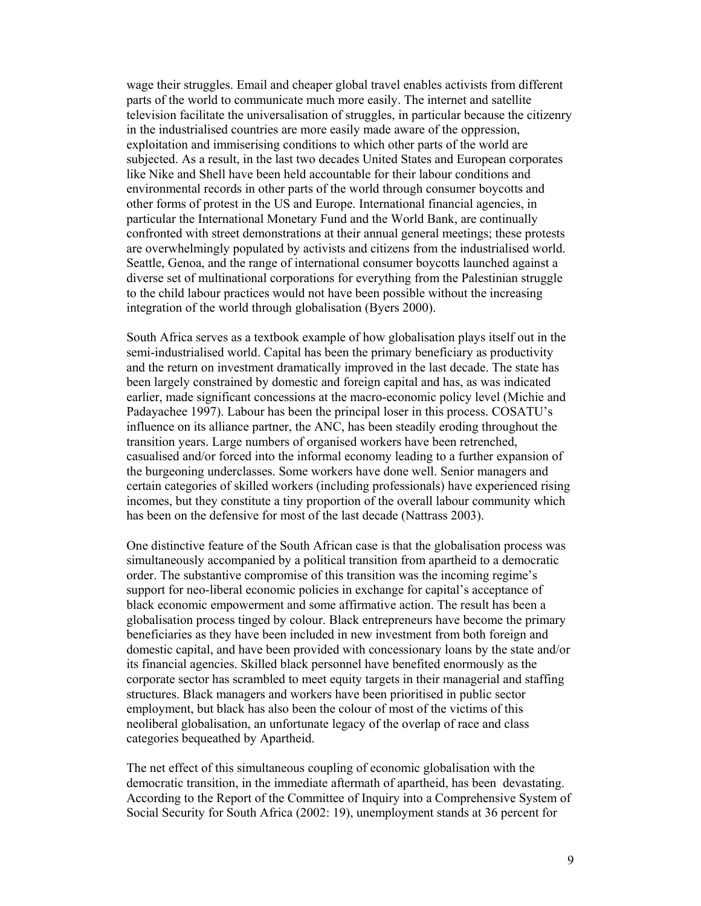wage their struggles. Email and cheaper global travel enables activists from different parts of the world to communicate much more easily. The internet and satellite television facilitate the universalisation of struggles, in particular because the citizenry in the industrialised countries are more easily made aware of the oppression, exploitation and immiserising conditions to which other parts of the world are subjected. As a result, in the last two decades United States and European corporates like Nike and Shell have been held accountable for their labour conditions and environmental records in other parts of the world through consumer boycotts and other forms of protest in the US and Europe. International financial agencies, in particular the International Monetary Fund and the World Bank, are continually confronted with street demonstrations at their annual general meetings; these protests are overwhelmingly populated by activists and citizens from the industrialised world. Seattle, Genoa, and the range of international consumer boycotts launched against a diverse set of multinational corporations for everything from the Palestinian struggle to the child labour practices would not have been possible without the increasing integration of the world through globalisation (Byers 2000).

South Africa serves as a textbook example of how globalisation plays itself out in the semi-industrialised world. Capital has been the primary beneficiary as productivity and the return on investment dramatically improved in the last decade. The state has been largely constrained by domestic and foreign capital and has, as was indicated earlier, made significant concessions at the macro-economic policy level (Michie and Padayachee 1997). Labour has been the principal loser in this process. COSATU's influence on its alliance partner, the ANC, has been steadily eroding throughout the transition years. Large numbers of organised workers have been retrenched, casualised and/or forced into the informal economy leading to a further expansion of the burgeoning underclasses. Some workers have done well. Senior managers and certain categories of skilled workers (including professionals) have experienced rising incomes, but they constitute a tiny proportion of the overall labour community which has been on the defensive for most of the last decade (Nattrass 2003).

One distinctive feature of the South African case is that the globalisation process was simultaneously accompanied by a political transition from apartheid to a democratic order. The substantive compromise of this transition was the incoming regime's support for neo-liberal economic policies in exchange for capital's acceptance of black economic empowerment and some affirmative action. The result has been a globalisation process tinged by colour. Black entrepreneurs have become the primary beneficiaries as they have been included in new investment from both foreign and domestic capital, and have been provided with concessionary loans by the state and/or its financial agencies. Skilled black personnel have benefited enormously as the corporate sector has scrambled to meet equity targets in their managerial and staffing structures. Black managers and workers have been prioritised in public sector employment, but black has also been the colour of most of the victims of this neoliberal globalisation, an unfortunate legacy of the overlap of race and class categories bequeathed by Apartheid.

The net effect of this simultaneous coupling of economic globalisation with the democratic transition, in the immediate aftermath of apartheid, has been devastating. According to the Report of the Committee of Inquiry into a Comprehensive System of Social Security for South Africa (2002: 19), unemployment stands at 36 percent for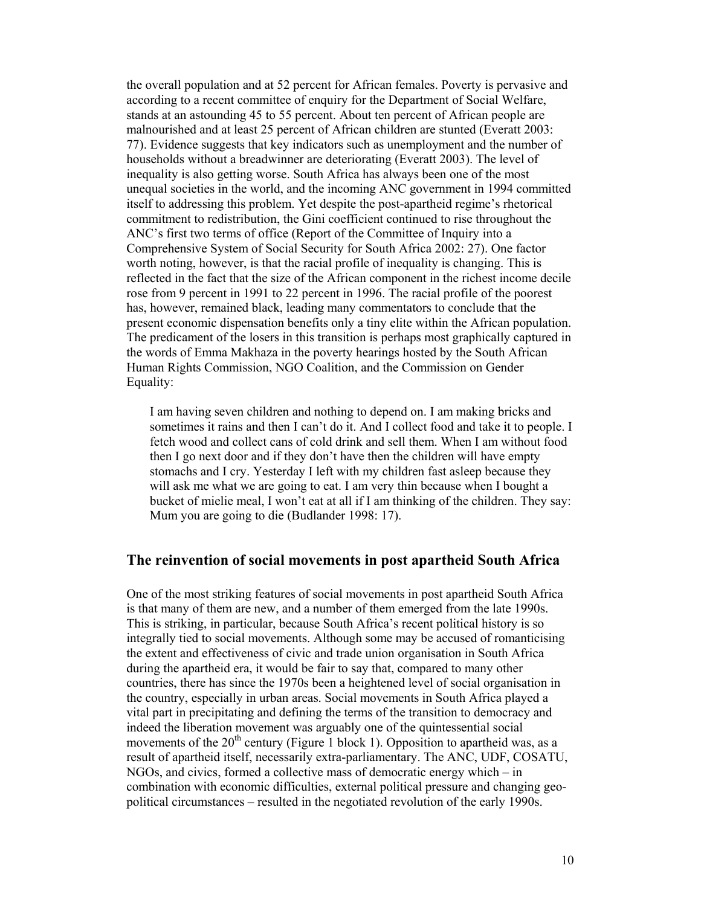the overall population and at 52 percent for African females. Poverty is pervasive and according to a recent committee of enquiry for the Department of Social Welfare, stands at an astounding 45 to 55 percent. About ten percent of African people are malnourished and at least 25 percent of African children are stunted (Everatt 2003: 77). Evidence suggests that key indicators such as unemployment and the number of households without a breadwinner are deteriorating (Everatt 2003). The level of inequality is also getting worse. South Africa has always been one of the most unequal societies in the world, and the incoming ANC government in 1994 committed itself to addressing this problem. Yet despite the post-apartheid regime's rhetorical commitment to redistribution, the Gini coefficient continued to rise throughout the ANC's first two terms of office (Report of the Committee of Inquiry into a Comprehensive System of Social Security for South Africa 2002: 27). One factor worth noting, however, is that the racial profile of inequality is changing. This is reflected in the fact that the size of the African component in the richest income decile rose from 9 percent in 1991 to 22 percent in 1996. The racial profile of the poorest has, however, remained black, leading many commentators to conclude that the present economic dispensation benefits only a tiny elite within the African population. The predicament of the losers in this transition is perhaps most graphically captured in the words of Emma Makhaza in the poverty hearings hosted by the South African Human Rights Commission, NGO Coalition, and the Commission on Gender Equality:

I am having seven children and nothing to depend on. I am making bricks and sometimes it rains and then I can't do it. And I collect food and take it to people. I fetch wood and collect cans of cold drink and sell them. When I am without food then I go next door and if they don't have then the children will have empty stomachs and I cry. Yesterday I left with my children fast asleep because they will ask me what we are going to eat. I am very thin because when I bought a bucket of mielie meal, I won't eat at all if I am thinking of the children. They say: Mum you are going to die (Budlander 1998: 17).

## **The reinvention of social movements in post apartheid South Africa**

One of the most striking features of social movements in post apartheid South Africa is that many of them are new, and a number of them emerged from the late 1990s. This is striking, in particular, because South Africa's recent political history is so integrally tied to social movements. Although some may be accused of romanticising the extent and effectiveness of civic and trade union organisation in South Africa during the apartheid era, it would be fair to say that, compared to many other countries, there has since the 1970s been a heightened level of social organisation in the country, especially in urban areas. Social movements in South Africa played a vital part in precipitating and defining the terms of the transition to democracy and indeed the liberation movement was arguably one of the quintessential social movements of the  $20<sup>th</sup>$  century (Figure 1 block 1). Opposition to apartheid was, as a result of apartheid itself, necessarily extra-parliamentary. The ANC, UDF, COSATU, NGOs, and civics, formed a collective mass of democratic energy which – in combination with economic difficulties, external political pressure and changing geopolitical circumstances – resulted in the negotiated revolution of the early 1990s.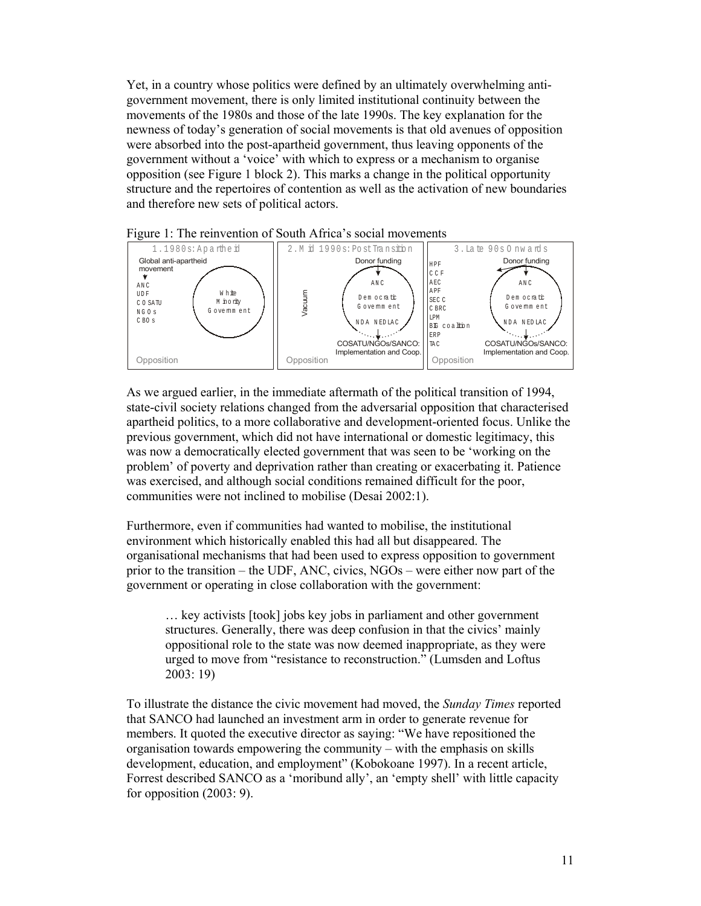Yet, in a country whose politics were defined by an ultimately overwhelming antigovernment movement, there is only limited institutional continuity between the movements of the 1980s and those of the late 1990s. The key explanation for the newness of today's generation of social movements is that old avenues of opposition were absorbed into the post-apartheid government, thus leaving opponents of the government without a 'voice' with which to express or a mechanism to organise opposition (see Figure 1 block 2). This marks a change in the political opportunity structure and the repertoires of contention as well as the activation of new boundaries and therefore new sets of political actors.



As we argued earlier, in the immediate aftermath of the political transition of 1994, state-civil society relations changed from the adversarial opposition that characterised apartheid politics, to a more collaborative and development-oriented focus. Unlike the previous government, which did not have international or domestic legitimacy, this was now a democratically elected government that was seen to be 'working on the problem' of poverty and deprivation rather than creating or exacerbating it. Patience was exercised, and although social conditions remained difficult for the poor, communities were not inclined to mobilise (Desai 2002:1).

Furthermore, even if communities had wanted to mobilise, the institutional environment which historically enabled this had all but disappeared. The organisational mechanisms that had been used to express opposition to government prior to the transition – the UDF, ANC, civics, NGOs – were either now part of the government or operating in close collaboration with the government:

… key activists [took] jobs key jobs in parliament and other government structures. Generally, there was deep confusion in that the civics' mainly oppositional role to the state was now deemed inappropriate, as they were urged to move from "resistance to reconstruction." (Lumsden and Loftus 2003: 19)

To illustrate the distance the civic movement had moved, the *Sunday Times* reported that SANCO had launched an investment arm in order to generate revenue for members. It quoted the executive director as saying: "We have repositioned the organisation towards empowering the community – with the emphasis on skills development, education, and employment" (Kobokoane 1997). In a recent article, Forrest described SANCO as a 'moribund ally', an 'empty shell' with little capacity for opposition (2003: 9).

11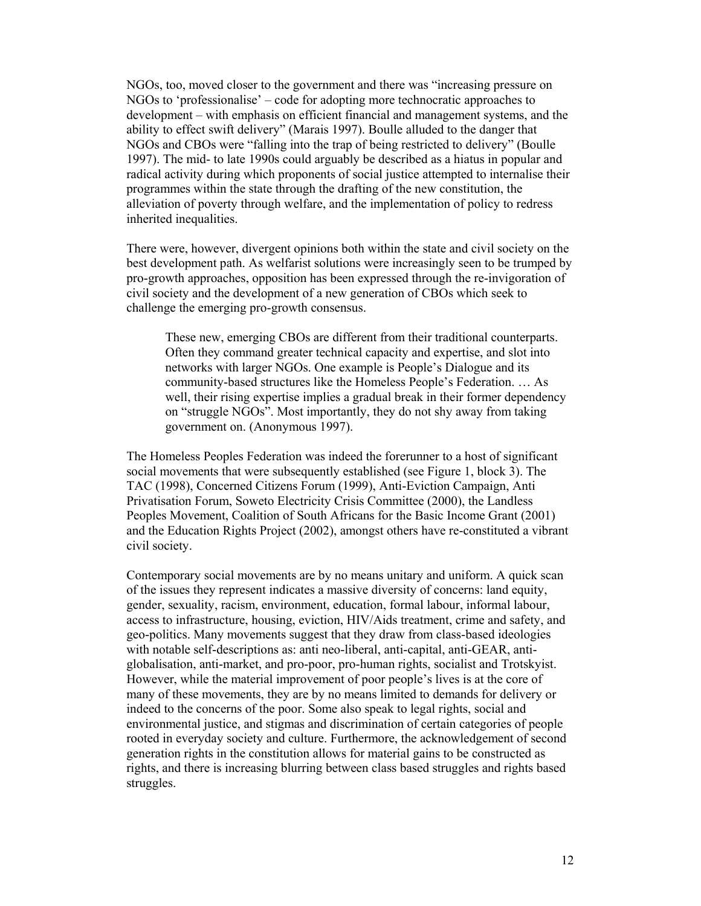NGOs, too, moved closer to the government and there was "increasing pressure on NGOs to 'professionalise' – code for adopting more technocratic approaches to development – with emphasis on efficient financial and management systems, and the ability to effect swift delivery" (Marais 1997). Boulle alluded to the danger that NGOs and CBOs were "falling into the trap of being restricted to delivery" (Boulle 1997). The mid- to late 1990s could arguably be described as a hiatus in popular and radical activity during which proponents of social justice attempted to internalise their programmes within the state through the drafting of the new constitution, the alleviation of poverty through welfare, and the implementation of policy to redress inherited inequalities.

There were, however, divergent opinions both within the state and civil society on the best development path. As welfarist solutions were increasingly seen to be trumped by pro-growth approaches, opposition has been expressed through the re-invigoration of civil society and the development of a new generation of CBOs which seek to challenge the emerging pro-growth consensus.

These new, emerging CBOs are different from their traditional counterparts. Often they command greater technical capacity and expertise, and slot into networks with larger NGOs. One example is People's Dialogue and its community-based structures like the Homeless People's Federation. … As well, their rising expertise implies a gradual break in their former dependency on "struggle NGOs". Most importantly, they do not shy away from taking government on. (Anonymous 1997).

The Homeless Peoples Federation was indeed the forerunner to a host of significant social movements that were subsequently established (see Figure 1, block 3). The TAC (1998), Concerned Citizens Forum (1999), Anti-Eviction Campaign, Anti Privatisation Forum, Soweto Electricity Crisis Committee (2000), the Landless Peoples Movement, Coalition of South Africans for the Basic Income Grant (2001) and the Education Rights Project (2002), amongst others have re-constituted a vibrant civil society.

Contemporary social movements are by no means unitary and uniform. A quick scan of the issues they represent indicates a massive diversity of concerns: land equity, gender, sexuality, racism, environment, education, formal labour, informal labour, access to infrastructure, housing, eviction, HIV/Aids treatment, crime and safety, and geo-politics. Many movements suggest that they draw from class-based ideologies with notable self-descriptions as: anti neo-liberal, anti-capital, anti-GEAR, antiglobalisation, anti-market, and pro-poor, pro-human rights, socialist and Trotskyist. However, while the material improvement of poor people's lives is at the core of many of these movements, they are by no means limited to demands for delivery or indeed to the concerns of the poor. Some also speak to legal rights, social and environmental justice, and stigmas and discrimination of certain categories of people rooted in everyday society and culture. Furthermore, the acknowledgement of second generation rights in the constitution allows for material gains to be constructed as rights, and there is increasing blurring between class based struggles and rights based struggles.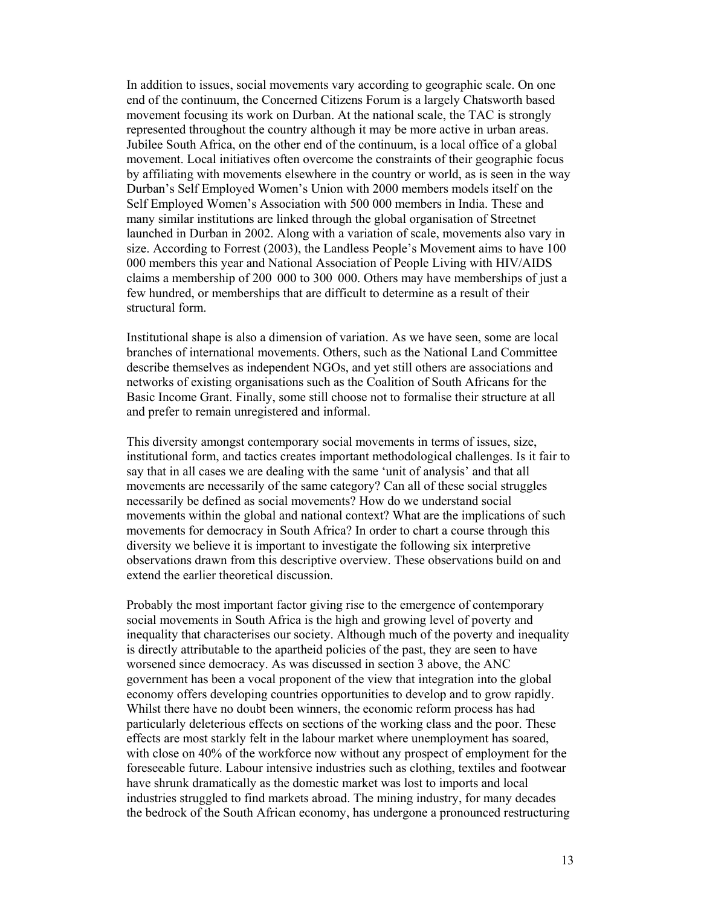In addition to issues, social movements vary according to geographic scale. On one end of the continuum, the Concerned Citizens Forum is a largely Chatsworth based movement focusing its work on Durban. At the national scale, the TAC is strongly represented throughout the country although it may be more active in urban areas. Jubilee South Africa, on the other end of the continuum, is a local office of a global movement. Local initiatives often overcome the constraints of their geographic focus by affiliating with movements elsewhere in the country or world, as is seen in the way Durban's Self Employed Women's Union with 2000 members models itself on the Self Employed Women's Association with 500 000 members in India. These and many similar institutions are linked through the global organisation of Streetnet launched in Durban in 2002. Along with a variation of scale, movements also vary in size. According to Forrest (2003), the Landless People's Movement aims to have 100 000 members this year and National Association of People Living with HIV/AIDS claims a membership of  $200\,000$  to  $300\,000$ . Others may have memberships of just a few hundred, or memberships that are difficult to determine as a result of their structural form.

Institutional shape is also a dimension of variation. As we have seen, some are local branches of international movements. Others, such as the National Land Committee describe themselves as independent NGOs, and yet still others are associations and networks of existing organisations such as the Coalition of South Africans for the Basic Income Grant. Finally, some still choose not to formalise their structure at all and prefer to remain unregistered and informal.

This diversity amongst contemporary social movements in terms of issues, size, institutional form, and tactics creates important methodological challenges. Is it fair to say that in all cases we are dealing with the same 'unit of analysis' and that all movements are necessarily of the same category? Can all of these social struggles necessarily be defined as social movements? How do we understand social movements within the global and national context? What are the implications of such movements for democracy in South Africa? In order to chart a course through this diversity we believe it is important to investigate the following six interpretive observations drawn from this descriptive overview. These observations build on and extend the earlier theoretical discussion.

Probably the most important factor giving rise to the emergence of contemporary social movements in South Africa is the high and growing level of poverty and inequality that characterises our society. Although much of the poverty and inequality is directly attributable to the apartheid policies of the past, they are seen to have worsened since democracy. As was discussed in section 3 above, the ANC government has been a vocal proponent of the view that integration into the global economy offers developing countries opportunities to develop and to grow rapidly. Whilst there have no doubt been winners, the economic reform process has had particularly deleterious effects on sections of the working class and the poor. These effects are most starkly felt in the labour market where unemployment has soared, with close on 40% of the workforce now without any prospect of employment for the foreseeable future. Labour intensive industries such as clothing, textiles and footwear have shrunk dramatically as the domestic market was lost to imports and local industries struggled to find markets abroad. The mining industry, for many decades the bedrock of the South African economy, has undergone a pronounced restructuring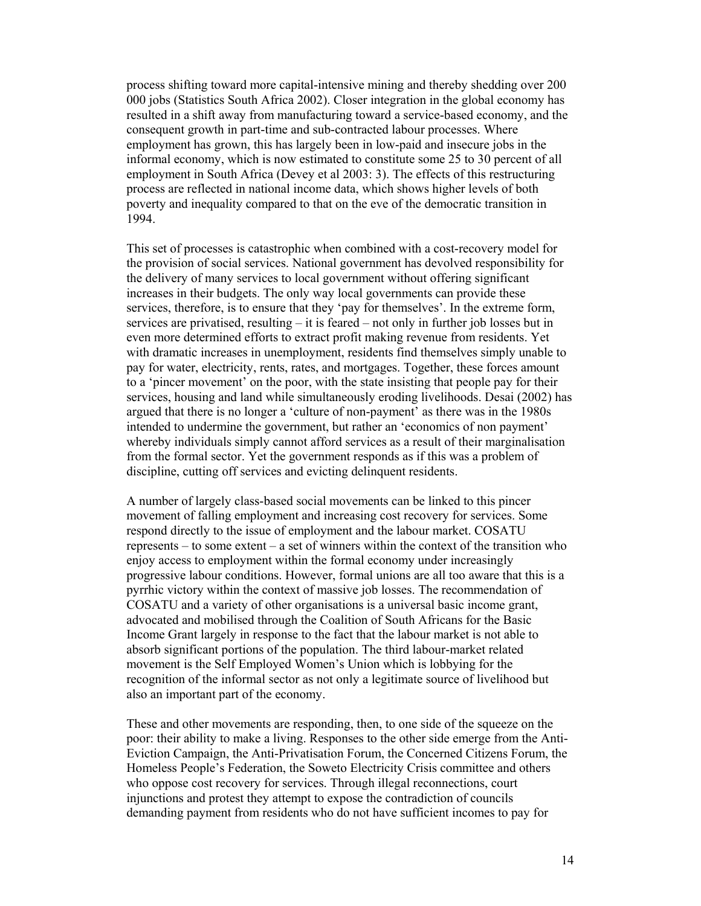process shifting toward more capital-intensive mining and thereby shedding over 200 000 jobs (Statistics South Africa 2002). Closer integration in the global economy has resulted in a shift away from manufacturing toward a service-based economy, and the consequent growth in part-time and sub-contracted labour processes. Where employment has grown, this has largely been in low-paid and insecure jobs in the informal economy, which is now estimated to constitute some 25 to 30 percent of all employment in South Africa (Devey et al 2003: 3). The effects of this restructuring process are reflected in national income data, which shows higher levels of both poverty and inequality compared to that on the eve of the democratic transition in 1994.

This set of processes is catastrophic when combined with a cost-recovery model for the provision of social services. National government has devolved responsibility for the delivery of many services to local government without offering significant increases in their budgets. The only way local governments can provide these services, therefore, is to ensure that they 'pay for themselves'. In the extreme form, services are privatised, resulting – it is feared – not only in further job losses but in even more determined efforts to extract profit making revenue from residents. Yet with dramatic increases in unemployment, residents find themselves simply unable to pay for water, electricity, rents, rates, and mortgages. Together, these forces amount to a 'pincer movement' on the poor, with the state insisting that people pay for their services, housing and land while simultaneously eroding livelihoods. Desai (2002) has argued that there is no longer a 'culture of non-payment' as there was in the 1980s intended to undermine the government, but rather an 'economics of non payment' whereby individuals simply cannot afford services as a result of their marginalisation from the formal sector. Yet the government responds as if this was a problem of discipline, cutting off services and evicting delinquent residents.

A number of largely class-based social movements can be linked to this pincer movement of falling employment and increasing cost recovery for services. Some respond directly to the issue of employment and the labour market. COSATU represents – to some extent – a set of winners within the context of the transition who enjoy access to employment within the formal economy under increasingly progressive labour conditions. However, formal unions are all too aware that this is a pyrrhic victory within the context of massive job losses. The recommendation of COSATU and a variety of other organisations is a universal basic income grant, advocated and mobilised through the Coalition of South Africans for the Basic Income Grant largely in response to the fact that the labour market is not able to absorb significant portions of the population. The third labour-market related movement is the Self Employed Women's Union which is lobbying for the recognition of the informal sector as not only a legitimate source of livelihood but also an important part of the economy.

These and other movements are responding, then, to one side of the squeeze on the poor: their ability to make a living. Responses to the other side emerge from the Anti-Eviction Campaign, the Anti-Privatisation Forum, the Concerned Citizens Forum, the Homeless People's Federation, the Soweto Electricity Crisis committee and others who oppose cost recovery for services. Through illegal reconnections, court injunctions and protest they attempt to expose the contradiction of councils demanding payment from residents who do not have sufficient incomes to pay for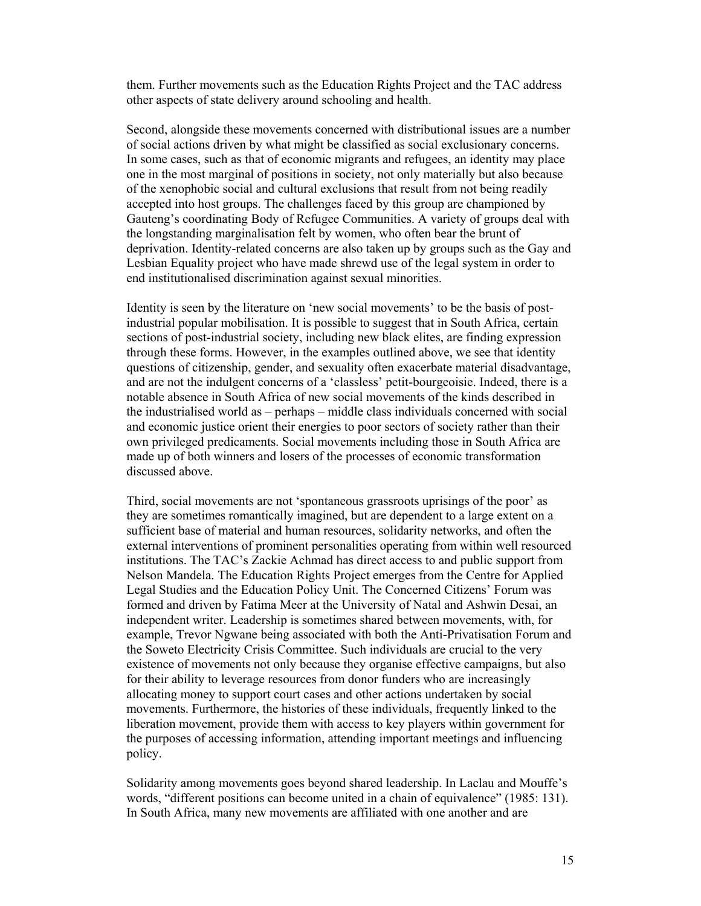them. Further movements such as the Education Rights Project and the TAC address other aspects of state delivery around schooling and health.

Second, alongside these movements concerned with distributional issues are a number of social actions driven by what might be classified as social exclusionary concerns. In some cases, such as that of economic migrants and refugees, an identity may place one in the most marginal of positions in society, not only materially but also because of the xenophobic social and cultural exclusions that result from not being readily accepted into host groups. The challenges faced by this group are championed by Gauteng's coordinating Body of Refugee Communities. A variety of groups deal with the longstanding marginalisation felt by women, who often bear the brunt of deprivation. Identity-related concerns are also taken up by groups such as the Gay and Lesbian Equality project who have made shrewd use of the legal system in order to end institutionalised discrimination against sexual minorities.

Identity is seen by the literature on 'new social movements' to be the basis of postindustrial popular mobilisation. It is possible to suggest that in South Africa, certain sections of post-industrial society, including new black elites, are finding expression through these forms. However, in the examples outlined above, we see that identity questions of citizenship, gender, and sexuality often exacerbate material disadvantage, and are not the indulgent concerns of a 'classless' petit-bourgeoisie. Indeed, there is a notable absence in South Africa of new social movements of the kinds described in the industrialised world as – perhaps – middle class individuals concerned with social and economic justice orient their energies to poor sectors of society rather than their own privileged predicaments. Social movements including those in South Africa are made up of both winners and losers of the processes of economic transformation discussed above.

Third, social movements are not 'spontaneous grassroots uprisings of the poor' as they are sometimes romantically imagined, but are dependent to a large extent on a sufficient base of material and human resources, solidarity networks, and often the external interventions of prominent personalities operating from within well resourced institutions. The TAC's Zackie Achmad has direct access to and public support from Nelson Mandela. The Education Rights Project emerges from the Centre for Applied Legal Studies and the Education Policy Unit. The Concerned Citizens' Forum was formed and driven by Fatima Meer at the University of Natal and Ashwin Desai, an independent writer. Leadership is sometimes shared between movements, with, for example, Trevor Ngwane being associated with both the Anti-Privatisation Forum and the Soweto Electricity Crisis Committee. Such individuals are crucial to the very existence of movements not only because they organise effective campaigns, but also for their ability to leverage resources from donor funders who are increasingly allocating money to support court cases and other actions undertaken by social movements. Furthermore, the histories of these individuals, frequently linked to the liberation movement, provide them with access to key players within government for the purposes of accessing information, attending important meetings and influencing policy.

Solidarity among movements goes beyond shared leadership. In Laclau and Mouffe's words, "different positions can become united in a chain of equivalence" (1985: 131). In South Africa, many new movements are affiliated with one another and are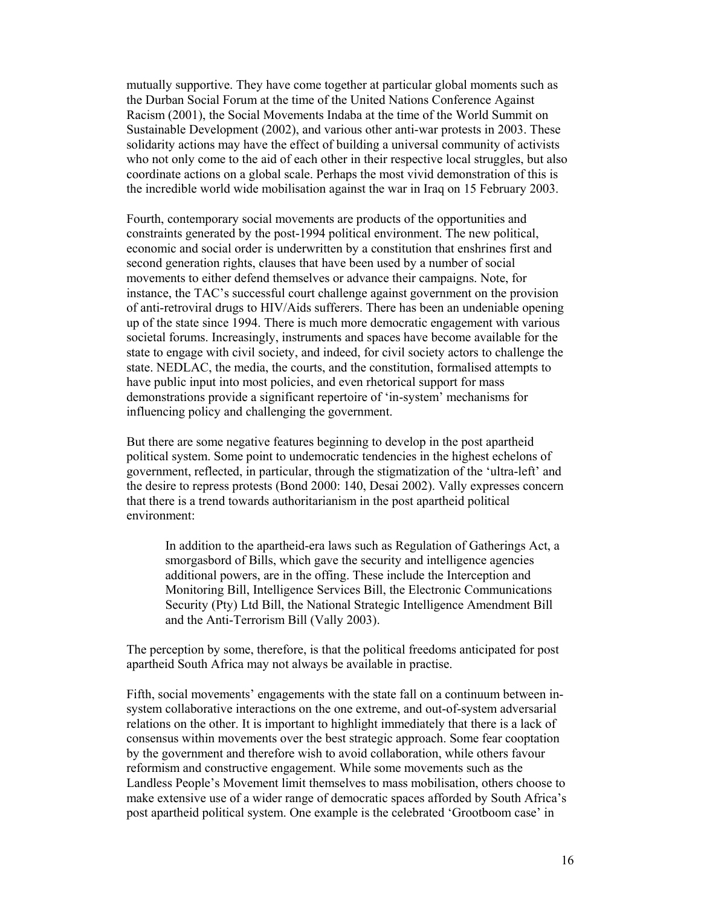mutually supportive. They have come together at particular global moments such as the Durban Social Forum at the time of the United Nations Conference Against Racism (2001), the Social Movements Indaba at the time of the World Summit on Sustainable Development (2002), and various other anti-war protests in 2003. These solidarity actions may have the effect of building a universal community of activists who not only come to the aid of each other in their respective local struggles, but also coordinate actions on a global scale. Perhaps the most vivid demonstration of this is the incredible world wide mobilisation against the war in Iraq on 15 February 2003.

Fourth, contemporary social movements are products of the opportunities and constraints generated by the post-1994 political environment. The new political, economic and social order is underwritten by a constitution that enshrines first and second generation rights, clauses that have been used by a number of social movements to either defend themselves or advance their campaigns. Note, for instance, the TAC's successful court challenge against government on the provision of anti-retroviral drugs to HIV/Aids sufferers. There has been an undeniable opening up of the state since 1994. There is much more democratic engagement with various societal forums. Increasingly, instruments and spaces have become available for the state to engage with civil society, and indeed, for civil society actors to challenge the state. NEDLAC, the media, the courts, and the constitution, formalised attempts to have public input into most policies, and even rhetorical support for mass demonstrations provide a significant repertoire of 'in-system' mechanisms for influencing policy and challenging the government.

But there are some negative features beginning to develop in the post apartheid political system. Some point to undemocratic tendencies in the highest echelons of government, reflected, in particular, through the stigmatization of the 'ultra-left' and the desire to repress protests (Bond 2000: 140, Desai 2002). Vally expresses concern that there is a trend towards authoritarianism in the post apartheid political environment:

In addition to the apartheid-era laws such as Regulation of Gatherings Act, a smorgasbord of Bills, which gave the security and intelligence agencies additional powers, are in the offing. These include the Interception and Monitoring Bill, Intelligence Services Bill, the Electronic Communications Security (Pty) Ltd Bill, the National Strategic Intelligence Amendment Bill and the Anti-Terrorism Bill (Vally 2003).

The perception by some, therefore, is that the political freedoms anticipated for post apartheid South Africa may not always be available in practise.

Fifth, social movements' engagements with the state fall on a continuum between insystem collaborative interactions on the one extreme, and out-of-system adversarial relations on the other. It is important to highlight immediately that there is a lack of consensus within movements over the best strategic approach. Some fear cooptation by the government and therefore wish to avoid collaboration, while others favour reformism and constructive engagement. While some movements such as the Landless People's Movement limit themselves to mass mobilisation, others choose to make extensive use of a wider range of democratic spaces afforded by South Africa's post apartheid political system. One example is the celebrated 'Grootboom case' in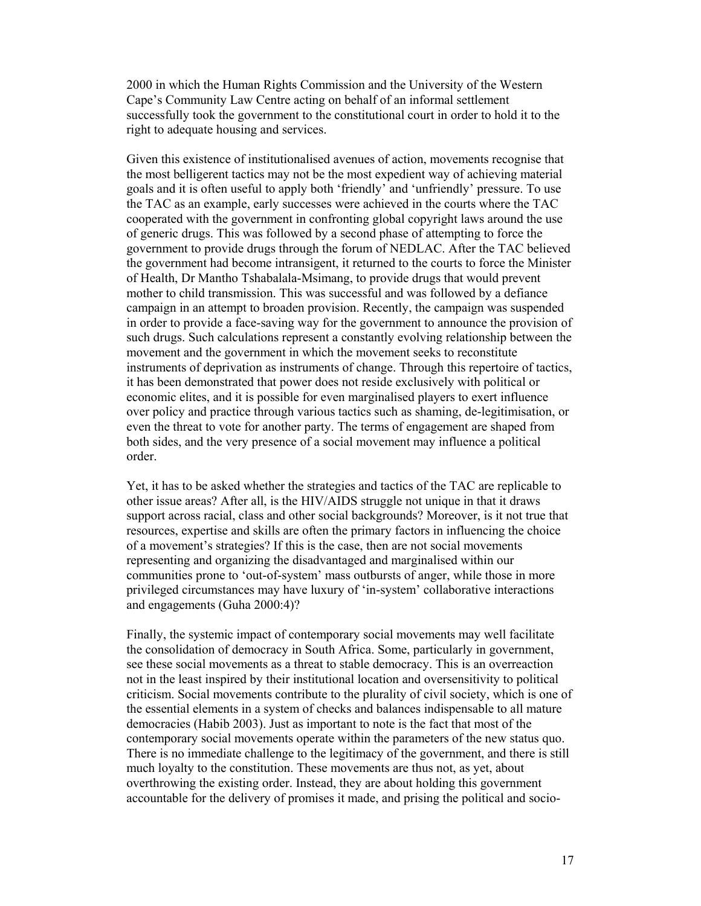2000 in which the Human Rights Commission and the University of the Western Cape's Community Law Centre acting on behalf of an informal settlement successfully took the government to the constitutional court in order to hold it to the right to adequate housing and services.

Given this existence of institutionalised avenues of action, movements recognise that the most belligerent tactics may not be the most expedient way of achieving material goals and it is often useful to apply both 'friendly' and 'unfriendly' pressure. To use the TAC as an example, early successes were achieved in the courts where the TAC cooperated with the government in confronting global copyright laws around the use of generic drugs. This was followed by a second phase of attempting to force the government to provide drugs through the forum of NEDLAC. After the TAC believed the government had become intransigent, it returned to the courts to force the Minister of Health, Dr Mantho Tshabalala-Msimang, to provide drugs that would prevent mother to child transmission. This was successful and was followed by a defiance campaign in an attempt to broaden provision. Recently, the campaign was suspended in order to provide a face-saving way for the government to announce the provision of such drugs. Such calculations represent a constantly evolving relationship between the movement and the government in which the movement seeks to reconstitute instruments of deprivation as instruments of change. Through this repertoire of tactics, it has been demonstrated that power does not reside exclusively with political or economic elites, and it is possible for even marginalised players to exert influence over policy and practice through various tactics such as shaming, de-legitimisation, or even the threat to vote for another party. The terms of engagement are shaped from both sides, and the very presence of a social movement may influence a political order.

Yet, it has to be asked whether the strategies and tactics of the TAC are replicable to other issue areas? After all, is the HIV/AIDS struggle not unique in that it draws support across racial, class and other social backgrounds? Moreover, is it not true that resources, expertise and skills are often the primary factors in influencing the choice of a movement's strategies? If this is the case, then are not social movements representing and organizing the disadvantaged and marginalised within our communities prone to 'out-of-system' mass outbursts of anger, while those in more privileged circumstances may have luxury of 'in-system' collaborative interactions and engagements (Guha 2000:4)?

Finally, the systemic impact of contemporary social movements may well facilitate the consolidation of democracy in South Africa. Some, particularly in government, see these social movements as a threat to stable democracy. This is an overreaction not in the least inspired by their institutional location and oversensitivity to political criticism. Social movements contribute to the plurality of civil society, which is one of the essential elements in a system of checks and balances indispensable to all mature democracies (Habib 2003). Just as important to note is the fact that most of the contemporary social movements operate within the parameters of the new status quo. There is no immediate challenge to the legitimacy of the government, and there is still much loyalty to the constitution. These movements are thus not, as yet, about overthrowing the existing order. Instead, they are about holding this government accountable for the delivery of promises it made, and prising the political and socio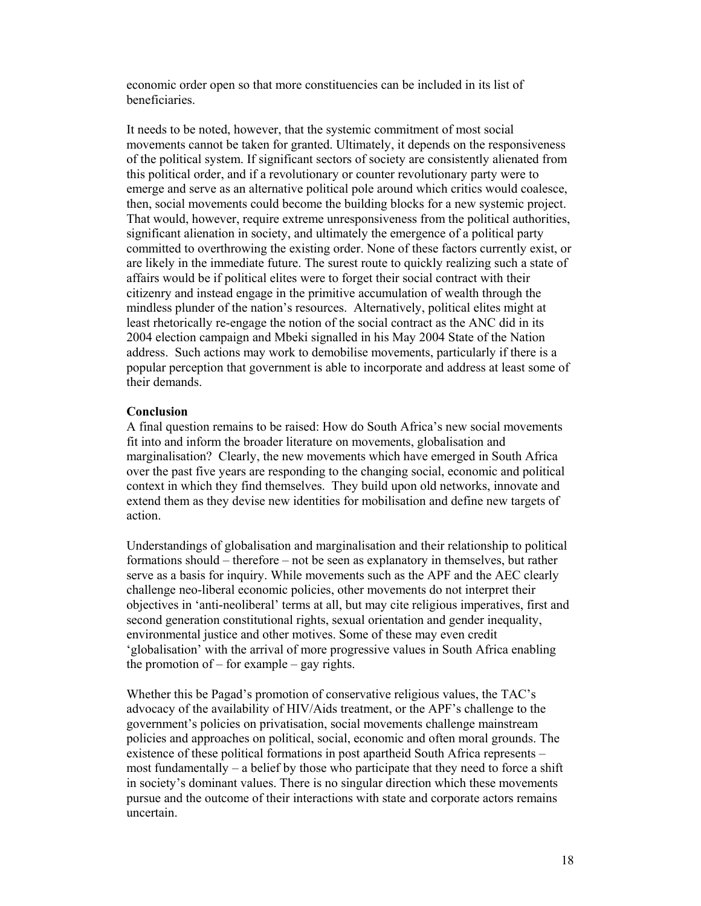economic order open so that more constituencies can be included in its list of beneficiaries.

It needs to be noted, however, that the systemic commitment of most social movements cannot be taken for granted. Ultimately, it depends on the responsiveness of the political system. If significant sectors of society are consistently alienated from this political order, and if a revolutionary or counter revolutionary party were to emerge and serve as an alternative political pole around which critics would coalesce, then, social movements could become the building blocks for a new systemic project. That would, however, require extreme unresponsiveness from the political authorities, significant alienation in society, and ultimately the emergence of a political party committed to overthrowing the existing order. None of these factors currently exist, or are likely in the immediate future. The surest route to quickly realizing such a state of affairs would be if political elites were to forget their social contract with their citizenry and instead engage in the primitive accumulation of wealth through the mindless plunder of the nation's resources. Alternatively, political elites might at least rhetorically re-engage the notion of the social contract as the ANC did in its 2004 election campaign and Mbeki signalled in his May 2004 State of the Nation address. Such actions may work to demobilise movements, particularly if there is a popular perception that government is able to incorporate and address at least some of their demands.

#### **Conclusion**

A final question remains to be raised: How do South Africa's new social movements fit into and inform the broader literature on movements, globalisation and marginalisation? Clearly, the new movements which have emerged in South Africa over the past five years are responding to the changing social, economic and political context in which they find themselves. They build upon old networks, innovate and extend them as they devise new identities for mobilisation and define new targets of action.

Understandings of globalisation and marginalisation and their relationship to political formations should – therefore – not be seen as explanatory in themselves, but rather serve as a basis for inquiry. While movements such as the APF and the AEC clearly challenge neo-liberal economic policies, other movements do not interpret their objectives in 'anti-neoliberal' terms at all, but may cite religious imperatives, first and second generation constitutional rights, sexual orientation and gender inequality, environmental justice and other motives. Some of these may even credit 'globalisation' with the arrival of more progressive values in South Africa enabling the promotion of – for example – gay rights.

Whether this be Pagad's promotion of conservative religious values, the TAC's advocacy of the availability of HIV/Aids treatment, or the APF's challenge to the government's policies on privatisation, social movements challenge mainstream policies and approaches on political, social, economic and often moral grounds. The existence of these political formations in post apartheid South Africa represents – most fundamentally – a belief by those who participate that they need to force a shift in society's dominant values. There is no singular direction which these movements pursue and the outcome of their interactions with state and corporate actors remains uncertain.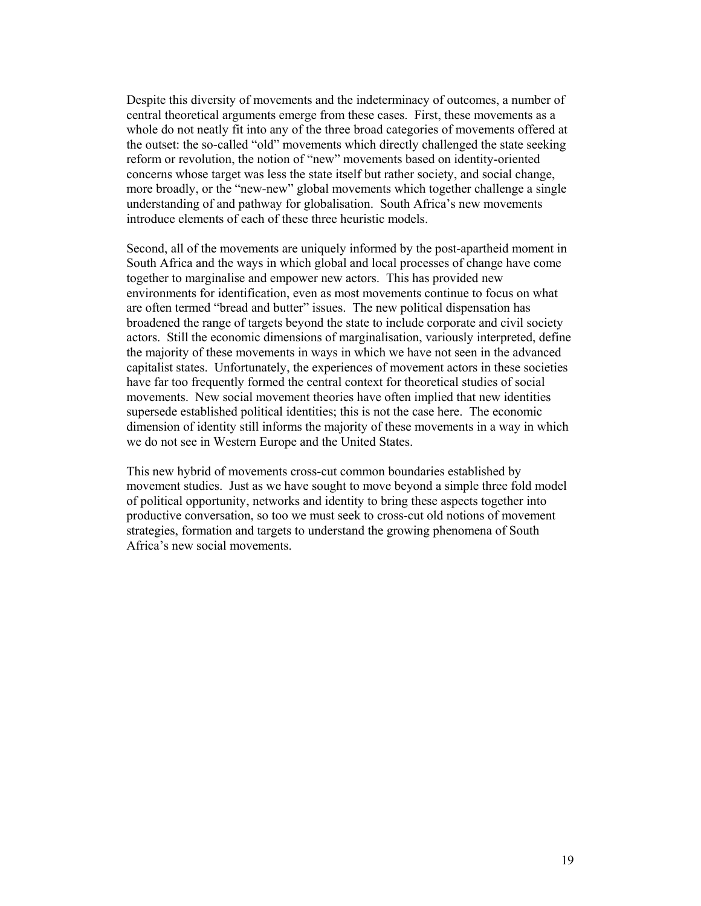Despite this diversity of movements and the indeterminacy of outcomes, a number of central theoretical arguments emerge from these cases. First, these movements as a whole do not neatly fit into any of the three broad categories of movements offered at the outset: the so-called "old" movements which directly challenged the state seeking reform or revolution, the notion of "new" movements based on identity-oriented concerns whose target was less the state itself but rather society, and social change, more broadly, or the "new-new" global movements which together challenge a single understanding of and pathway for globalisation. South Africa's new movements introduce elements of each of these three heuristic models.

Second, all of the movements are uniquely informed by the post-apartheid moment in South Africa and the ways in which global and local processes of change have come together to marginalise and empower new actors. This has provided new environments for identification, even as most movements continue to focus on what are often termed "bread and butter" issues. The new political dispensation has broadened the range of targets beyond the state to include corporate and civil society actors. Still the economic dimensions of marginalisation, variously interpreted, define the majority of these movements in ways in which we have not seen in the advanced capitalist states. Unfortunately, the experiences of movement actors in these societies have far too frequently formed the central context for theoretical studies of social movements. New social movement theories have often implied that new identities supersede established political identities; this is not the case here. The economic dimension of identity still informs the majority of these movements in a way in which we do not see in Western Europe and the United States.

This new hybrid of movements cross-cut common boundaries established by movement studies. Just as we have sought to move beyond a simple three fold model of political opportunity, networks and identity to bring these aspects together into productive conversation, so too we must seek to cross-cut old notions of movement strategies, formation and targets to understand the growing phenomena of South Africa's new social movements.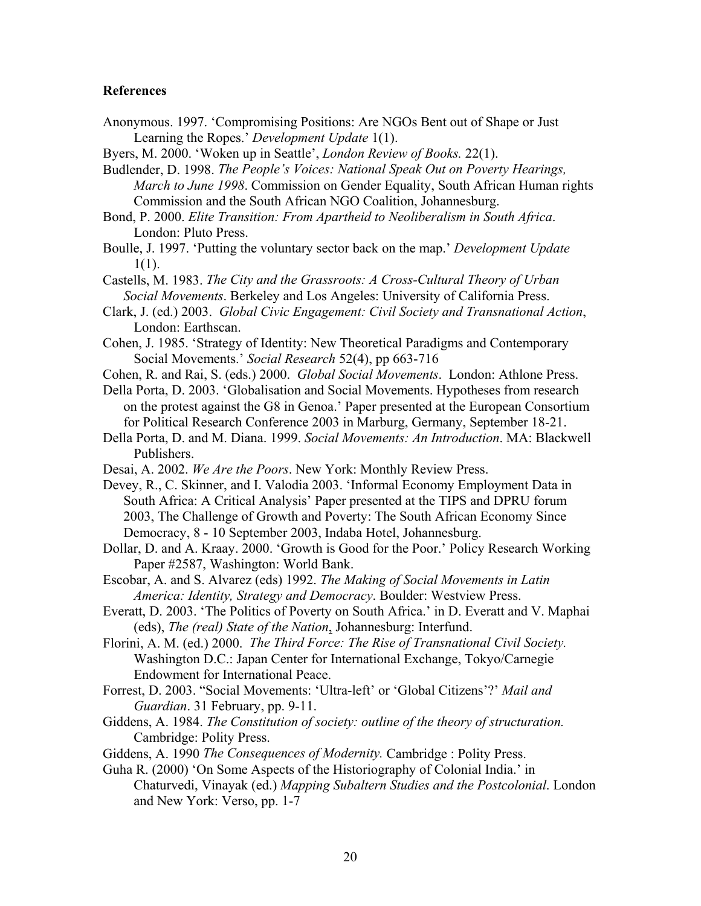#### **References**

- Anonymous. 1997. 'Compromising Positions: Are NGOs Bent out of Shape or Just Learning the Ropes.' *Development Update* 1(1).
- Byers, M. 2000. 'Woken up in Seattle', *London Review of Books.* 22(1).
- Budlender, D. 1998. *The People's Voices: National Speak Out on Poverty Hearings, March to June 1998*. Commission on Gender Equality, South African Human rights Commission and the South African NGO Coalition, Johannesburg.
- Bond, P. 2000. *Elite Transition: From Apartheid to Neoliberalism in South Africa*. London: Pluto Press.
- Boulle, J. 1997. 'Putting the voluntary sector back on the map.' *Development Update*  $1(1)$ .

Castells, M. 1983. *The City and the Grassroots: A Cross-Cultural Theory of Urban Social Movements*. Berkeley and Los Angeles: University of California Press.

- Clark, J. (ed.) 2003. *Global Civic Engagement: Civil Society and Transnational Action*, London: Earthscan.
- Cohen, J. 1985. 'Strategy of Identity: New Theoretical Paradigms and Contemporary Social Movements.' *Social Research* 52(4), pp 663-716
- Cohen, R. and Rai, S. (eds.) 2000. *Global Social Movements*. London: Athlone Press.
- Della Porta, D. 2003. 'Globalisation and Social Movements. Hypotheses from research on the protest against the G8 in Genoa.' Paper presented at the European Consortium for Political Research Conference 2003 in Marburg, Germany, September 18-21.
- Della Porta, D. and M. Diana. 1999. *Social Movements: An Introduction*. MA: Blackwell Publishers.
- Desai, A. 2002. *We Are the Poors*. New York: Monthly Review Press.

Devey, R., C. Skinner, and I. Valodia 2003. 'Informal Economy Employment Data in South Africa: A Critical Analysis' Paper presented at the TIPS and DPRU forum 2003, The Challenge of Growth and Poverty: The South African Economy Since Democracy, 8 - 10 September 2003, Indaba Hotel, Johannesburg.

- Dollar, D. and A. Kraay. 2000. 'Growth is Good for the Poor.' Policy Research Working Paper #2587, Washington: World Bank.
- Escobar, A. and S. Alvarez (eds) 1992. *The Making of Social Movements in Latin America: Identity, Strategy and Democracy*. Boulder: Westview Press.

Everatt, D. 2003. 'The Politics of Poverty on South Africa.' in D. Everatt and V. Maphai (eds), *The (real) State of the Nation*, Johannesburg: Interfund.

- Florini, A. M. (ed.) 2000. *The Third Force: The Rise of Transnational Civil Society.* Washington D.C.: Japan Center for International Exchange, Tokyo/Carnegie Endowment for International Peace.
- Forrest, D. 2003. "Social Movements: 'Ultra-left' or 'Global Citizens'?' *Mail and Guardian*. 31 February, pp. 9-11.
- Giddens, A. 1984. *The Constitution of society: outline of the theory of structuration.* Cambridge: Polity Press.
- Giddens, A. 1990 *The Consequences of Modernity.* Cambridge : Polity Press.
- Guha R. (2000) 'On Some Aspects of the Historiography of Colonial India.' in Chaturvedi, Vinayak (ed.) *Mapping Subaltern Studies and the Postcolonial*. London and New York: Verso, pp. 1-7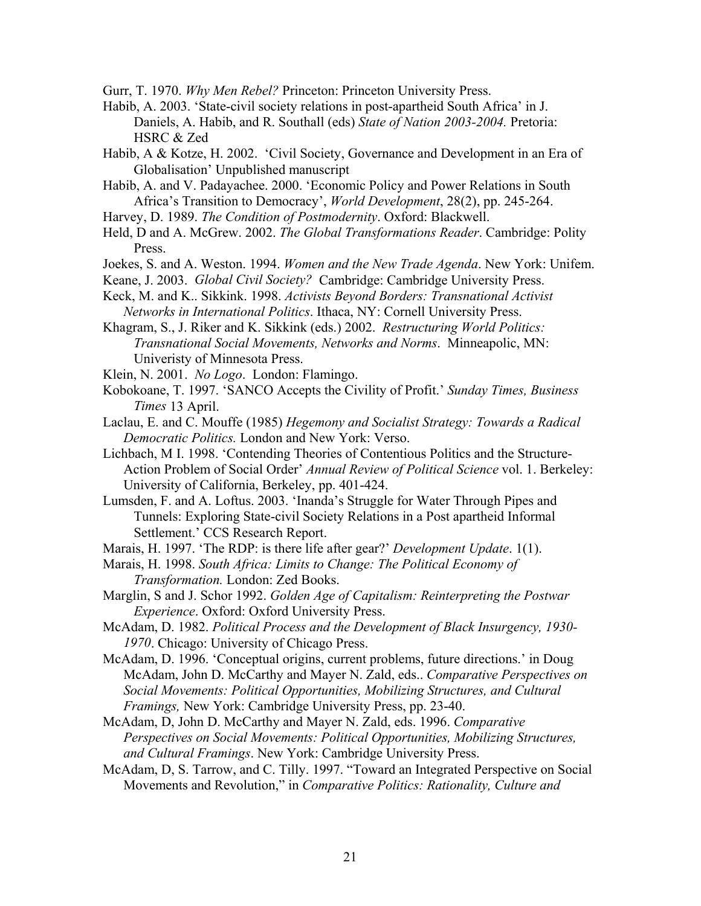Gurr, T. 1970. *Why Men Rebel?* Princeton: Princeton University Press.

- Habib, A. 2003. 'State-civil society relations in post-apartheid South Africa' in J. Daniels, A. Habib, and R. Southall (eds) *State of Nation 2003-2004.* Pretoria: HSRC & Zed
- Habib, A & Kotze, H. 2002. 'Civil Society, Governance and Development in an Era of Globalisation' Unpublished manuscript
- Habib, A. and V. Padayachee. 2000. 'Economic Policy and Power Relations in South Africa's Transition to Democracy', *World Development*, 28(2), pp. 245-264.
- Harvey, D. 1989. *The Condition of Postmodernity*. Oxford: Blackwell.
- Held, D and A. McGrew. 2002. *The Global Transformations Reader*. Cambridge: Polity Press.
- Joekes, S. and A. Weston. 1994. *Women and the New Trade Agenda*. New York: Unifem.
- Keane, J. 2003. *Global Civil Society?* Cambridge: Cambridge University Press.
- Keck, M. and K.. Sikkink. 1998. *Activists Beyond Borders: Transnational Activist Networks in International Politics*. Ithaca, NY: Cornell University Press.
- Khagram, S., J. Riker and K. Sikkink (eds.) 2002. *Restructuring World Politics: Transnational Social Movements, Networks and Norms*. Minneapolic, MN: Univeristy of Minnesota Press.
- Klein, N. 2001. *No Logo*. London: Flamingo.
- Kobokoane, T. 1997. 'SANCO Accepts the Civility of Profit.' *Sunday Times, Business Times* 13 April.
- Laclau, E. and C. Mouffe (1985) *Hegemony and Socialist Strategy: Towards a Radical Democratic Politics.* London and New York: Verso.
- Lichbach, M I. 1998. 'Contending Theories of Contentious Politics and the Structure-Action Problem of Social Order' *Annual Review of Political Science* vol. 1. Berkeley: University of California, Berkeley, pp. 401-424.
- Lumsden, F. and A. Loftus. 2003. 'Inanda's Struggle for Water Through Pipes and Tunnels: Exploring State-civil Society Relations in a Post apartheid Informal Settlement.' CCS Research Report.
- Marais, H. 1997. 'The RDP: is there life after gear?' *Development Update*. 1(1).
- Marais, H. 1998. *South Africa: Limits to Change: The Political Economy of Transformation.* London: Zed Books.
- Marglin, S and J. Schor 1992. *Golden Age of Capitalism: Reinterpreting the Postwar Experience*. Oxford: Oxford University Press.
- McAdam, D. 1982. *Political Process and the Development of Black Insurgency, 1930- 1970*. Chicago: University of Chicago Press.
- McAdam, D. 1996. 'Conceptual origins, current problems, future directions.' in Doug McAdam, John D. McCarthy and Mayer N. Zald, eds.. *Comparative Perspectives on Social Movements: Political Opportunities, Mobilizing Structures, and Cultural Framings,* New York: Cambridge University Press, pp. 23-40.
- McAdam, D, John D. McCarthy and Mayer N. Zald, eds. 1996. *Comparative Perspectives on Social Movements: Political Opportunities, Mobilizing Structures, and Cultural Framings*. New York: Cambridge University Press.
- McAdam, D, S. Tarrow, and C. Tilly. 1997. "Toward an Integrated Perspective on Social Movements and Revolution," in *Comparative Politics: Rationality, Culture and*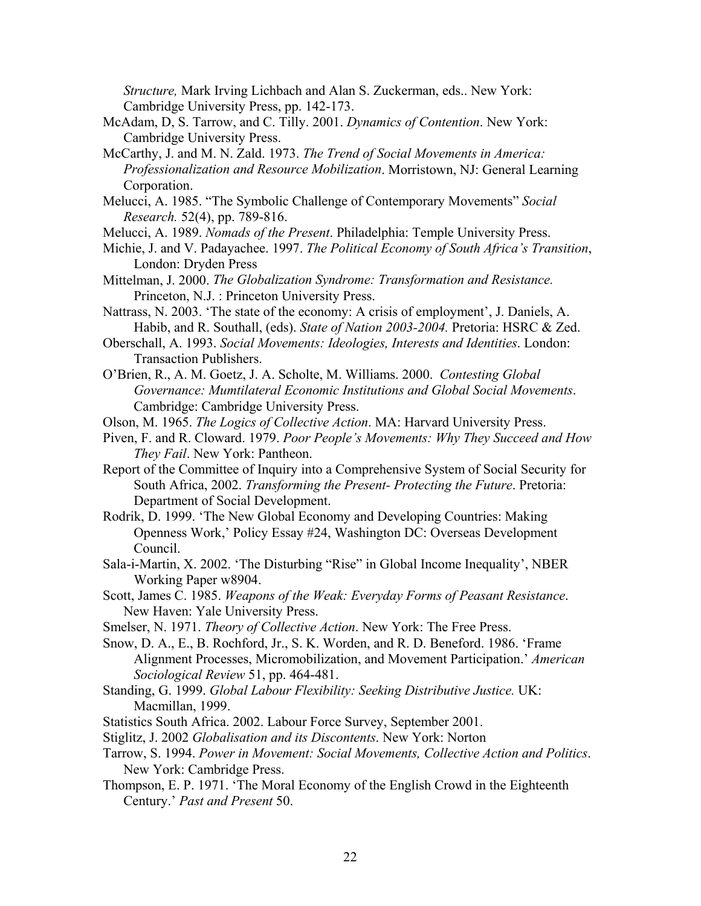*Structure,* Mark Irving Lichbach and Alan S. Zuckerman, eds.. New York: Cambridge University Press, pp. 142-173.

- McAdam, D, S. Tarrow, and C. Tilly. 2001. *Dynamics of Contention*. New York: Cambridge University Press.
- McCarthy, J. and M. N. Zald. 1973. *The Trend of Social Movements in America: Professionalization and Resource Mobilization*. Morristown, NJ: General Learning Corporation.
- Melucci, A. 1985. "The Symbolic Challenge of Contemporary Movements" *Social Research.* 52(4), pp. 789-816.
- Melucci, A. 1989. *Nomads of the Present*. Philadelphia: Temple University Press.
- Michie, J. and V. Padayachee. 1997. *The Political Economy of South Africa's Transition*, London: Dryden Press
- Mittelman, J. 2000. *The Globalization Syndrome: Transformation and Resistance.* Princeton, N.J. : Princeton University Press.
- Nattrass, N. 2003. 'The state of the economy: A crisis of employment', J. Daniels, A. Habib, and R. Southall, (eds). *State of Nation 2003-2004.* Pretoria: HSRC & Zed.
- Oberschall, A. 1993. *Social Movements: Ideologies, Interests and Identities*. London: Transaction Publishers.
- O'Brien, R., A. M. Goetz, J. A. Scholte, M. Williams. 2000. *Contesting Global Governance: Mumtilateral Economic Institutions and Global Social Movements*. Cambridge: Cambridge University Press.
- Olson, M. 1965. *The Logics of Collective Action*. MA: Harvard University Press.
- Piven, F. and R. Cloward. 1979. *Poor People's Movements: Why They Succeed and How They Fail*. New York: Pantheon.
- Report of the Committee of Inquiry into a Comprehensive System of Social Security for South Africa, 2002. *Transforming the Present- Protecting the Future*. Pretoria: Department of Social Development.
- Rodrik, D. 1999. 'The New Global Economy and Developing Countries: Making Openness Work,' Policy Essay #24, Washington DC: Overseas Development Council.
- Sala-i-Martin, X. 2002. 'The Disturbing "Rise" in Global Income Inequality', NBER Working Paper w8904.
- Scott, James C. 1985. *Weapons of the Weak: Everyday Forms of Peasant Resistance*. New Haven: Yale University Press.
- Smelser, N. 1971. *Theory of Collective Action*. New York: The Free Press.
- Snow, D. A., E., B. Rochford, Jr., S. K. Worden, and R. D. Beneford. 1986. 'Frame Alignment Processes, Micromobilization, and Movement Participation.' *American Sociological Review* 51, pp. 464-481.
- Standing, G. 1999. *Global Labour Flexibility: Seeking Distributive Justice.* UK: Macmillan, 1999.
- Statistics South Africa. 2002. Labour Force Survey, September 2001.
- Stiglitz, J. 2002 *Globalisation and its Discontents*. New York: Norton
- Tarrow, S. 1994. *Power in Movement: Social Movements, Collective Action and Politics*. New York: Cambridge Press.
- Thompson, E. P. 1971. 'The Moral Economy of the English Crowd in the Eighteenth Century.' *Past and Present* 50.